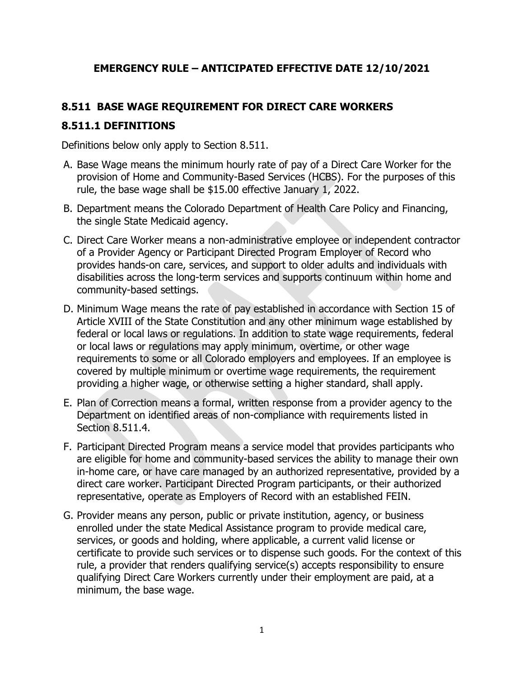## **EMERGENCY RULE – ANTICIPATED EFFECTIVE DATE 12/10/2021**

#### **8.511 BASE WAGE REQUIREMENT FOR DIRECT CARE WORKERS**

#### **8.511.1 DEFINITIONS**

Definitions below only apply to Section 8.511.

- A. Base Wage means the minimum hourly rate of pay of a Direct Care Worker for the provision of Home and Community-Based Services (HCBS). For the purposes of this rule, the base wage shall be \$15.00 effective January 1, 2022.
- B. Department means the Colorado Department of Health Care Policy and Financing, the single State Medicaid agency.
- C. Direct Care Worker means a non-administrative employee or independent contractor of a Provider Agency or Participant Directed Program Employer of Record who provides hands-on care, services, and support to older adults and individuals with disabilities across the long-term services and supports continuum within home and community-based settings.
- D. Minimum Wage means the rate of pay established in accordance with Section 15 of Article XVIII of the State Constitution and any other minimum wage established by federal or local laws or regulations. In addition to state wage requirements, federal or local laws or regulations may apply minimum, overtime, or other wage requirements to some or all Colorado employers and employees. If an employee is covered by multiple minimum or overtime wage requirements, the requirement providing a higher wage, or otherwise setting a higher standard, shall apply.
- E. Plan of Correction means a formal, written response from a provider agency to the Department on identified areas of non-compliance with requirements listed in Section 8.511.4.
- F. Participant Directed Program means a service model that provides participants who are eligible for home and community-based services the ability to manage their own in-home care, or have care managed by an authorized representative, provided by a direct care worker. Participant Directed Program participants, or their authorized representative, operate as Employers of Record with an established FEIN.
- G. Provider means any person, public or private institution, agency, or business enrolled under the state Medical Assistance program to provide medical care, services, or goods and holding, where applicable, a current valid license or certificate to provide such services or to dispense such goods. For the context of this rule, a provider that renders qualifying service(s) accepts responsibility to ensure qualifying Direct Care Workers currently under their employment are paid, at a minimum, the base wage.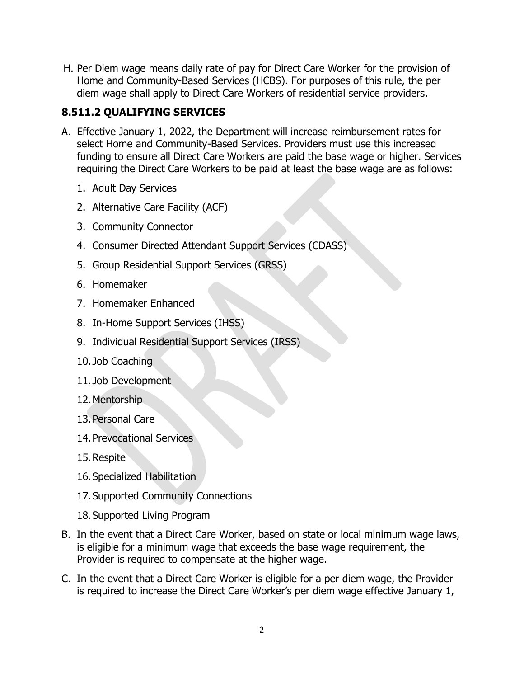H. Per Diem wage means daily rate of pay for Direct Care Worker for the provision of Home and Community-Based Services (HCBS). For purposes of this rule, the per diem wage shall apply to Direct Care Workers of residential service providers.

# **8.511.2 QUALIFYING SERVICES**

- A. Effective January 1, 2022, the Department will increase reimbursement rates for select Home and Community-Based Services. Providers must use this increased funding to ensure all Direct Care Workers are paid the base wage or higher. Services requiring the Direct Care Workers to be paid at least the base wage are as follows:
	- 1. Adult Day Services
	- 2. Alternative Care Facility (ACF)
	- 3. Community Connector
	- 4. Consumer Directed Attendant Support Services (CDASS)
	- 5. Group Residential Support Services (GRSS)
	- 6. Homemaker
	- 7. Homemaker Enhanced
	- 8. In-Home Support Services (IHSS)
	- 9. Individual Residential Support Services (IRSS)
	- 10. Job Coaching
	- 11. Job Development
	- 12.Mentorship
	- 13.Personal Care
	- 14.Prevocational Services
	- 15.Respite
	- 16.Specialized Habilitation
	- 17.Supported Community Connections
	- 18.Supported Living Program
- B. In the event that a Direct Care Worker, based on state or local minimum wage laws, is eligible for a minimum wage that exceeds the base wage requirement, the Provider is required to compensate at the higher wage.
- C. In the event that a Direct Care Worker is eligible for a per diem wage, the Provider is required to increase the Direct Care Worker's per diem wage effective January 1,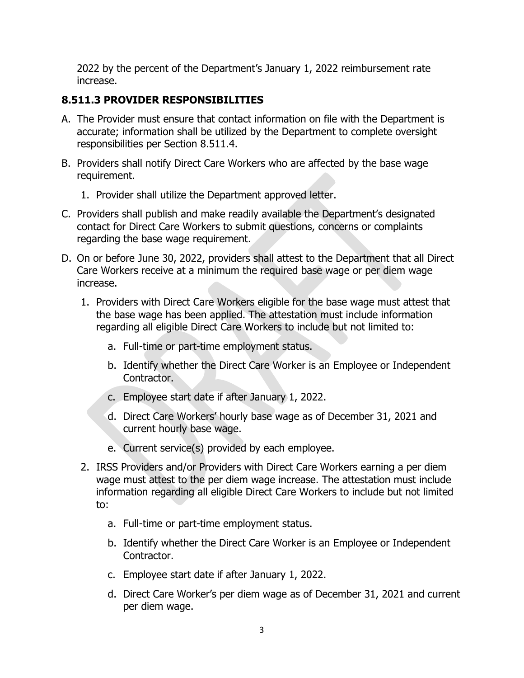2022 by the percent of the Department's January 1, 2022 reimbursement rate increase.

## **8.511.3 PROVIDER RESPONSIBILITIES**

- A. The Provider must ensure that contact information on file with the Department is accurate; information shall be utilized by the Department to complete oversight responsibilities per Section 8.511.4.
- B. Providers shall notify Direct Care Workers who are affected by the base wage requirement.
	- 1. Provider shall utilize the Department approved letter.
- C. Providers shall publish and make readily available the Department's designated contact for Direct Care Workers to submit questions, concerns or complaints regarding the base wage requirement.
- D. On or before June 30, 2022, providers shall attest to the Department that all Direct Care Workers receive at a minimum the required base wage or per diem wage increase.
	- 1. Providers with Direct Care Workers eligible for the base wage must attest that the base wage has been applied. The attestation must include information regarding all eligible Direct Care Workers to include but not limited to:
		- a. Full-time or part-time employment status.
		- b. Identify whether the Direct Care Worker is an Employee or Independent Contractor.
		- c. Employee start date if after January 1, 2022.
		- d. Direct Care Workers' hourly base wage as of December 31, 2021 and current hourly base wage.
		- e. Current service(s) provided by each employee.
	- 2. IRSS Providers and/or Providers with Direct Care Workers earning a per diem wage must attest to the per diem wage increase. The attestation must include information regarding all eligible Direct Care Workers to include but not limited to:
		- a. Full-time or part-time employment status.
		- b. Identify whether the Direct Care Worker is an Employee or Independent Contractor.
		- c. Employee start date if after January 1, 2022.
		- d. Direct Care Worker's per diem wage as of December 31, 2021 and current per diem wage.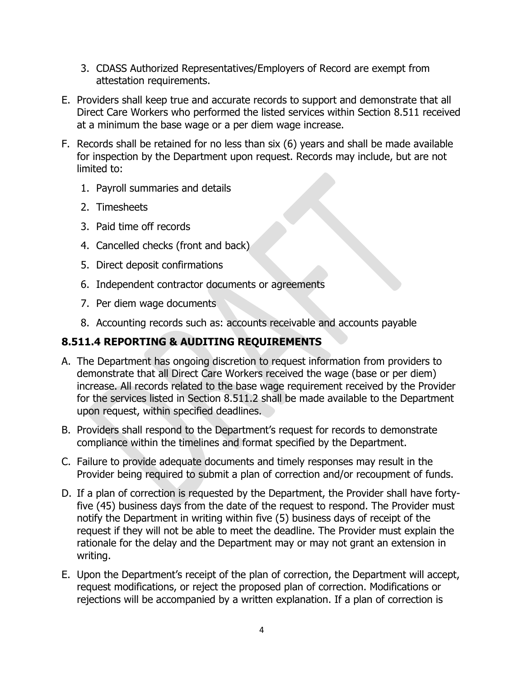- 3. CDASS Authorized Representatives/Employers of Record are exempt from attestation requirements.
- E. Providers shall keep true and accurate records to support and demonstrate that all Direct Care Workers who performed the listed services within Section 8.511 received at a minimum the base wage or a per diem wage increase.
- F. Records shall be retained for no less than six (6) years and shall be made available for inspection by the Department upon request. Records may include, but are not limited to:
	- 1. Payroll summaries and details
	- 2. Timesheets
	- 3. Paid time off records
	- 4. Cancelled checks (front and back)
	- 5. Direct deposit confirmations
	- 6. Independent contractor documents or agreements
	- 7. Per diem wage documents
	- 8. Accounting records such as: accounts receivable and accounts payable

# **8.511.4 REPORTING & AUDITING REQUIREMENTS**

- A. The Department has ongoing discretion to request information from providers to demonstrate that all Direct Care Workers received the wage (base or per diem) increase. All records related to the base wage requirement received by the Provider for the services listed in Section 8.511.2 shall be made available to the Department upon request, within specified deadlines.
- B. Providers shall respond to the Department's request for records to demonstrate compliance within the timelines and format specified by the Department.
- C. Failure to provide adequate documents and timely responses may result in the Provider being required to submit a plan of correction and/or recoupment of funds.
- D. If a plan of correction is requested by the Department, the Provider shall have fortyfive (45) business days from the date of the request to respond. The Provider must notify the Department in writing within five (5) business days of receipt of the request if they will not be able to meet the deadline. The Provider must explain the rationale for the delay and the Department may or may not grant an extension in writing.
- E. Upon the Department's receipt of the plan of correction, the Department will accept, request modifications, or reject the proposed plan of correction. Modifications or rejections will be accompanied by a written explanation. If a plan of correction is